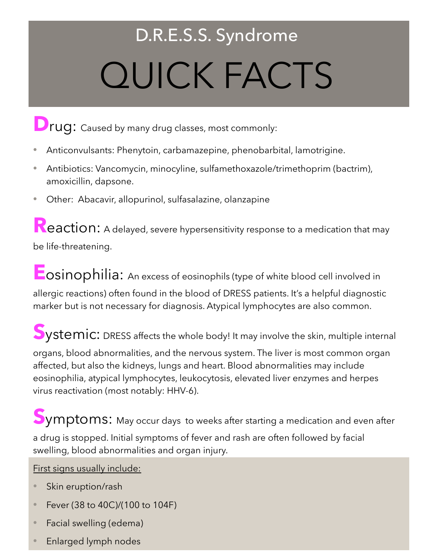# D.R.E.S.S. Syndrome QUICK FACTS

# **D**rug: Caused by many drug classes, most commonly:

- **•** Anticonvulsants: Phenytoin, carbamazepine, phenobarbital, lamotrigine.
- **•** Antibiotics: Vancomycin, minocyline, sulfamethoxazole/trimethoprim (bactrim), amoxicillin, dapsone.
- **•** Other: Abacavir, allopurinol, sulfasalazine, olanzapine

**Reaction:** A delayed, severe hypersensitivity response to a medication that may be life-threatening.

**Eosinophilia:** An excess of eosinophils (type of white blood cell involved in allergic reactions) often found in the blood of DRESS patients. It's a helpful diagnostic marker but is not necessary for diagnosis. Atypical lymphocytes are also common.

**S**ystemic: DRESS affects the whole body! It may involve the skin, multiple internal organs, blood abnormalities, and the nervous system. The liver is most common organ affected, but also the kidneys, lungs and heart. Blood abnormalities may include eosinophilia, atypical lymphocytes, leukocytosis, elevated liver enzymes and herpes virus reactivation (most notably: HHV-6).

**S**ymptoms: May occur days to weeks after starting a medication and even after a drug is stopped. Initial symptoms of fever and rash are often followed by facial swelling, blood abnormalities and organ injury.

First signs usually include:

- Skin eruption/rash
- Fever (38 to 40C)/(100 to 104F)
- Facial swelling (edema)
- Enlarged lymph nodes